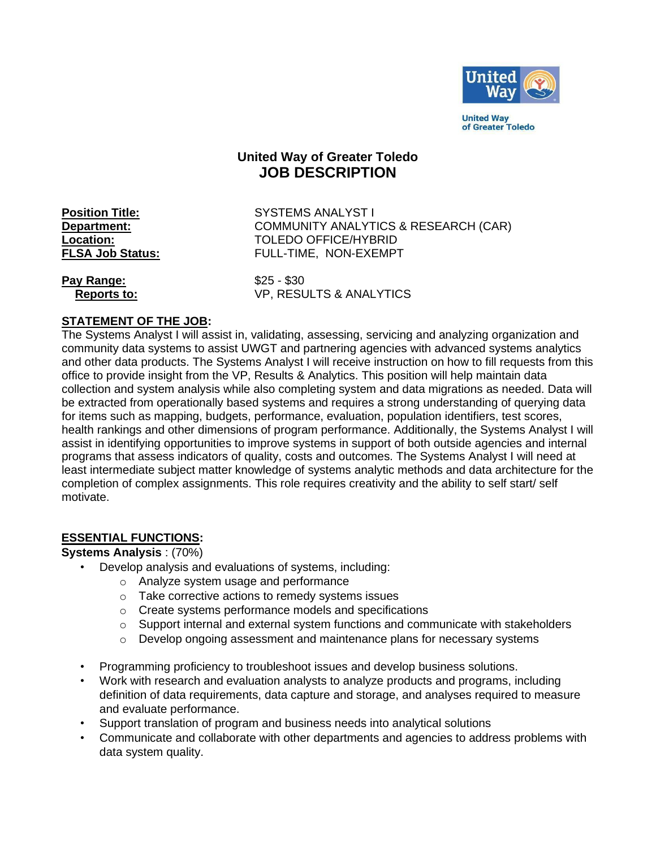

**United Way** of Greater Toledo

# **United Way of Greater Toledo JOB DESCRIPTION**

**Position Title:** SYSTEMS ANALYST I **Department:** COMMUNITY ANALYTICS & RESEARCH (CAR) **Location:** TOLEDO OFFICE/HYBRID **FLSA Job Status:** FULL-TIME, NON-EXEMPT

**Pay Range:**  $$25 - $30$ 

 **Reports to:** VP, RESULTS & ANALYTICS

### **STATEMENT OF THE JOB:**

The Systems Analyst I will assist in, validating, assessing, servicing and analyzing organization and community data systems to assist UWGT and partnering agencies with advanced systems analytics and other data products. The Systems Analyst I will receive instruction on how to fill requests from this office to provide insight from the VP, Results & Analytics. This position will help maintain data collection and system analysis while also completing system and data migrations as needed. Data will be extracted from operationally based systems and requires a strong understanding of querying data for items such as mapping, budgets, performance, evaluation, population identifiers, test scores, health rankings and other dimensions of program performance. Additionally, the Systems Analyst I will assist in identifying opportunities to improve systems in support of both outside agencies and internal programs that assess indicators of quality, costs and outcomes. The Systems Analyst I will need at least intermediate subject matter knowledge of systems analytic methods and data architecture for the completion of complex assignments. This role requires creativity and the ability to self start/ self motivate.

#### **ESSENTIAL FUNCTIONS:**

#### **Systems Analysis** : (70%)

- Develop analysis and evaluations of systems, including:
	- o Analyze system usage and performance
	- o Take corrective actions to remedy systems issues
	- o Create systems performance models and specifications
	- $\circ$  Support internal and external system functions and communicate with stakeholders
	- $\circ$  Develop ongoing assessment and maintenance plans for necessary systems
- Programming proficiency to troubleshoot issues and develop business solutions.
- Work with research and evaluation analysts to analyze products and programs, including definition of data requirements, data capture and storage, and analyses required to measure and evaluate performance.
- Support translation of program and business needs into analytical solutions
- Communicate and collaborate with other departments and agencies to address problems with data system quality.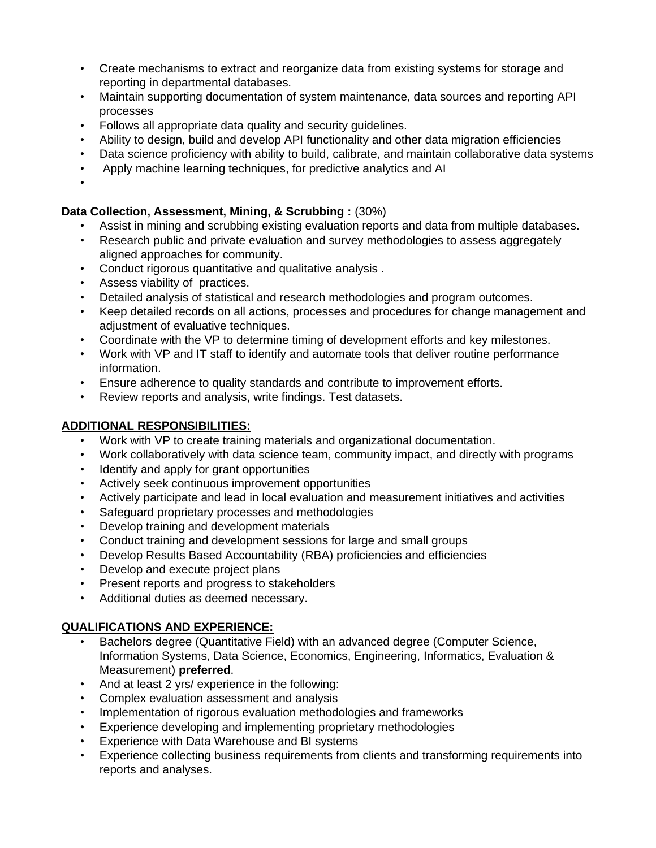- Create mechanisms to extract and reorganize data from existing systems for storage and reporting in departmental databases.
- Maintain supporting documentation of system maintenance, data sources and reporting API processes
- Follows all appropriate data quality and security guidelines.
- Ability to design, build and develop API functionality and other data migration efficiencies
- Data science proficiency with ability to build, calibrate, and maintain collaborative data systems
- Apply machine learning techniques, for predictive analytics and AI
- •

## **Data Collection, Assessment, Mining, & Scrubbing :** (30%)

- Assist in mining and scrubbing existing evaluation reports and data from multiple databases.
- Research public and private evaluation and survey methodologies to assess aggregately aligned approaches for community.
- Conduct rigorous quantitative and qualitative analysis .
- Assess viability of practices.
- Detailed analysis of statistical and research methodologies and program outcomes.
- Keep detailed records on all actions, processes and procedures for change management and adjustment of evaluative techniques.
- Coordinate with the VP to determine timing of development efforts and key milestones.
- Work with VP and IT staff to identify and automate tools that deliver routine performance information.
- Ensure adherence to quality standards and contribute to improvement efforts.
- Review reports and analysis, write findings. Test datasets.

## **ADDITIONAL RESPONSIBILITIES:**

- Work with VP to create training materials and organizational documentation.
- Work collaboratively with data science team, community impact, and directly with programs
- Identify and apply for grant opportunities
- Actively seek continuous improvement opportunities
- Actively participate and lead in local evaluation and measurement initiatives and activities
- Safeguard proprietary processes and methodologies
- Develop training and development materials
- Conduct training and development sessions for large and small groups
- Develop Results Based Accountability (RBA) proficiencies and efficiencies
- Develop and execute project plans
- Present reports and progress to stakeholders
- Additional duties as deemed necessary.

# **QUALIFICATIONS AND EXPERIENCE:**

- Bachelors degree (Quantitative Field) with an advanced degree (Computer Science, Information Systems, Data Science, Economics, Engineering, Informatics, Evaluation & Measurement) **preferred**.
- And at least 2 yrs/ experience in the following:
- Complex evaluation assessment and analysis
- Implementation of rigorous evaluation methodologies and frameworks
- Experience developing and implementing proprietary methodologies
- Experience with Data Warehouse and BI systems
- Experience collecting business requirements from clients and transforming requirements into reports and analyses.